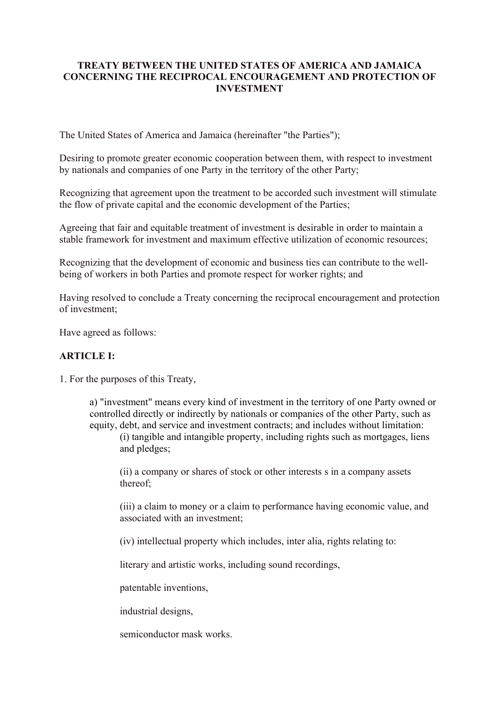## **TREATY BETWEEN THE UNITED STATES OF AMERICA AND JAMAICA CONCERNING THE RECIPROCAL ENCOURAGEMENT AND PROTECTION OF INVESTMENT**

The United States of America and Jamaica (hereinafter "the Parties");

Desiring to promote greater economic cooperation between them, with respect to investment by nationals and companies of one Party in the territory of the other Party;

Recognizing that agreement upon the treatment to be accorded such investment will stimulate the flow of private capital and the economic development of the Parties;

Agreeing that fair and equitable treatment of investment is desirable in order to maintain a stable framework for investment and maximum effective utilization of economic resources;

Recognizing that the development of economic and business ties can contribute to the wellbeing of workers in both Parties and promote respect for worker rights; and

Having resolved to conclude a Treaty concerning the reciprocal encouragement and protection of investment;

Have agreed as follows:

#### **ARTICLE I:**

1. For the purposes of this Treaty,

a) "investment" means every kind of investment in the territory of one Party owned or controlled directly or indirectly by nationals or companies of the other Party, such as equity, debt, and service and investment contracts; and includes without limitation:

(i) tangible and intangible property, including rights such as mortgages, liens and pledges;

(ii) a company or shares of stock or other interests s in a company assets thereof;

(iii) a claim to money or a claim to performance having economic value, and associated with an investment;

(iv) intellectual property which includes, inter alia, rights relating to:

literary and artistic works, including sound recordings,

patentable inventions,

industrial designs,

semiconductor mask works.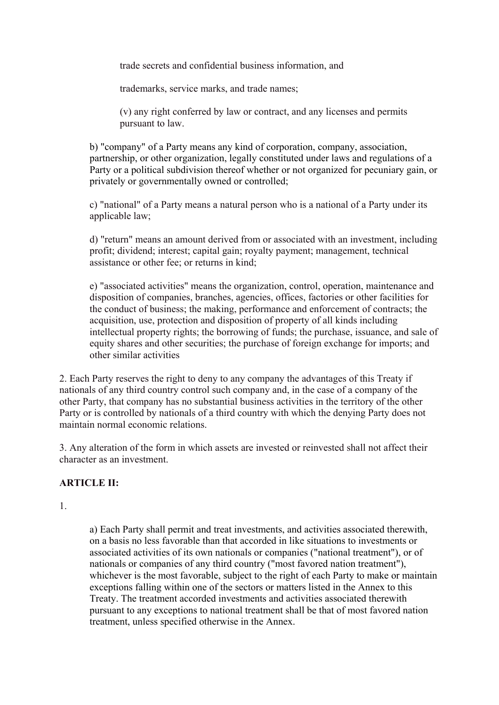trade secrets and confidential business information, and

trademarks, service marks, and trade names;

(v) any right conferred by law or contract, and any licenses and permits pursuant to law.

b) "company" of a Party means any kind of corporation, company, association, partnership, or other organization, legally constituted under laws and regulations of a Party or a political subdivision thereof whether or not organized for pecuniary gain, or privately or governmentally owned or controlled;

c) "national" of a Party means a natural person who is a national of a Party under its applicable law;

d) "return" means an amount derived from or associated with an investment, including profit; dividend; interest; capital gain; royalty payment; management, technical assistance or other fee; or returns in kind;

e) "associated activities" means the organization, control, operation, maintenance and disposition of companies, branches, agencies, offices, factories or other facilities for the conduct of business; the making, performance and enforcement of contracts; the acquisition, use, protection and disposition of property of all kinds including intellectual property rights; the borrowing of funds; the purchase, issuance, and sale of equity shares and other securities; the purchase of foreign exchange for imports; and other similar activities

2. Each Party reserves the right to deny to any company the advantages of this Treaty if nationals of any third country control such company and, in the case of a company of the other Party, that company has no substantial business activities in the territory of the other Party or is controlled by nationals of a third country with which the denying Party does not maintain normal economic relations.

3. Any alteration of the form in which assets are invested or reinvested shall not affect their character as an investment.

## **ARTICLE II:**

## 1.

a) Each Party shall permit and treat investments, and activities associated therewith, on a basis no less favorable than that accorded in like situations to investments or associated activities of its own nationals or companies ("national treatment"), or of nationals or companies of any third country ("most favored nation treatment"), whichever is the most favorable, subject to the right of each Party to make or maintain exceptions falling within one of the sectors or matters listed in the Annex to this Treaty. The treatment accorded investments and activities associated therewith pursuant to any exceptions to national treatment shall be that of most favored nation treatment, unless specified otherwise in the Annex.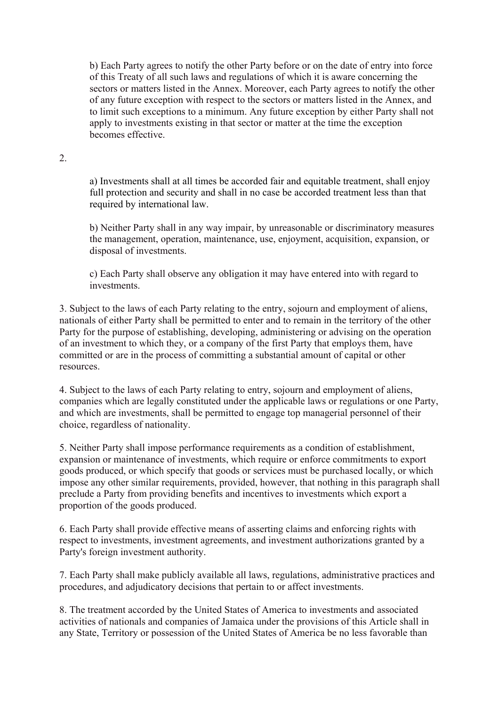b) Each Party agrees to notify the other Party before or on the date of entry into force of this Treaty of all such laws and regulations of which it is aware concerning the sectors or matters listed in the Annex. Moreover, each Party agrees to notify the other of any future exception with respect to the sectors or matters listed in the Annex, and to limit such exceptions to a minimum. Any future exception by either Party shall not apply to investments existing in that sector or matter at the time the exception becomes effective.

2.

a) Investments shall at all times be accorded fair and equitable treatment, shall enjoy full protection and security and shall in no case be accorded treatment less than that required by international law.

b) Neither Party shall in any way impair, by unreasonable or discriminatory measures the management, operation, maintenance, use, enjoyment, acquisition, expansion, or disposal of investments.

c) Each Party shall observe any obligation it may have entered into with regard to investments.

3. Subject to the laws of each Party relating to the entry, sojourn and employment of aliens, nationals of either Party shall be permitted to enter and to remain in the territory of the other Party for the purpose of establishing, developing, administering or advising on the operation of an investment to which they, or a company of the first Party that employs them, have committed or are in the process of committing a substantial amount of capital or other resources.

4. Subject to the laws of each Party relating to entry, sojourn and employment of aliens, companies which are legally constituted under the applicable laws or regulations or one Party, and which are investments, shall be permitted to engage top managerial personnel of their choice, regardless of nationality.

5. Neither Party shall impose performance requirements as a condition of establishment, expansion or maintenance of investments, which require or enforce commitments to export goods produced, or which specify that goods or services must be purchased locally, or which impose any other similar requirements, provided, however, that nothing in this paragraph shall preclude a Party from providing benefits and incentives to investments which export a proportion of the goods produced.

6. Each Party shall provide effective means of asserting claims and enforcing rights with respect to investments, investment agreements, and investment authorizations granted by a Party's foreign investment authority.

7. Each Party shall make publicly available all laws, regulations, administrative practices and procedures, and adjudicatory decisions that pertain to or affect investments.

8. The treatment accorded by the United States of America to investments and associated activities of nationals and companies of Jamaica under the provisions of this Article shall in any State, Territory or possession of the United States of America be no less favorable than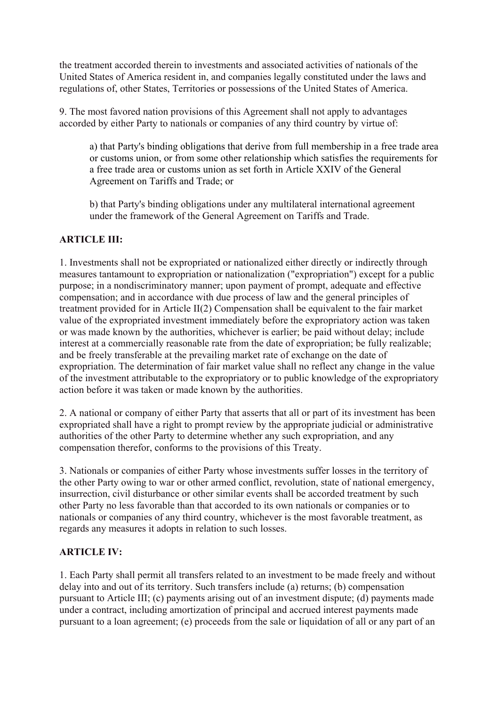the treatment accorded therein to investments and associated activities of nationals of the United States of America resident in, and companies legally constituted under the laws and regulations of, other States, Territories or possessions of the United States of America.

9. The most favored nation provisions of this Agreement shall not apply to advantages accorded by either Party to nationals or companies of any third country by virtue of:

a) that Party's binding obligations that derive from full membership in a free trade area or customs union, or from some other relationship which satisfies the requirements for a free trade area or customs union as set forth in Article XXIV of the General Agreement on Tariffs and Trade; or

b) that Party's binding obligations under any multilateral international agreement under the framework of the General Agreement on Tariffs and Trade.

# **ARTICLE III:**

1. Investments shall not be expropriated or nationalized either directly or indirectly through measures tantamount to expropriation or nationalization ("expropriation") except for a public purpose; in a nondiscriminatory manner; upon payment of prompt, adequate and effective compensation; and in accordance with due process of law and the general principles of treatment provided for in Article II(2) Compensation shall be equivalent to the fair market value of the expropriated investment immediately before the expropriatory action was taken or was made known by the authorities, whichever is earlier; be paid without delay; include interest at a commercially reasonable rate from the date of expropriation; be fully realizable; and be freely transferable at the prevailing market rate of exchange on the date of expropriation. The determination of fair market value shall no reflect any change in the value of the investment attributable to the expropriatory or to public knowledge of the expropriatory action before it was taken or made known by the authorities.

2. A national or company of either Party that asserts that all or part of its investment has been expropriated shall have a right to prompt review by the appropriate judicial or administrative authorities of the other Party to determine whether any such expropriation, and any compensation therefor, conforms to the provisions of this Treaty.

3. Nationals or companies of either Party whose investments suffer losses in the territory of the other Party owing to war or other armed conflict, revolution, state of national emergency, insurrection, civil disturbance or other similar events shall be accorded treatment by such other Party no less favorable than that accorded to its own nationals or companies or to nationals or companies of any third country, whichever is the most favorable treatment, as regards any measures it adopts in relation to such losses.

## **ARTICLE IV:**

1. Each Party shall permit all transfers related to an investment to be made freely and without delay into and out of its territory. Such transfers include (a) returns; (b) compensation pursuant to Article III; (c) payments arising out of an investment dispute; (d) payments made under a contract, including amortization of principal and accrued interest payments made pursuant to a loan agreement; (e) proceeds from the sale or liquidation of all or any part of an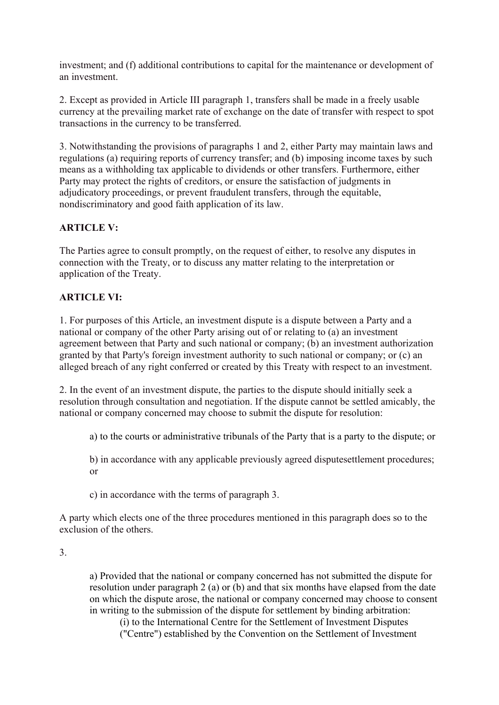investment; and (f) additional contributions to capital for the maintenance or development of an investment.

2. Except as provided in Article III paragraph 1, transfers shall be made in a freely usable currency at the prevailing market rate of exchange on the date of transfer with respect to spot transactions in the currency to be transferred.

3. Notwithstanding the provisions of paragraphs 1 and 2, either Party may maintain laws and regulations (a) requiring reports of currency transfer; and (b) imposing income taxes by such means as a withholding tax applicable to dividends or other transfers. Furthermore, either Party may protect the rights of creditors, or ensure the satisfaction of judgments in adjudicatory proceedings, or prevent fraudulent transfers, through the equitable, nondiscriminatory and good faith application of its law.

# **ARTICLE V:**

The Parties agree to consult promptly, on the request of either, to resolve any disputes in connection with the Treaty, or to discuss any matter relating to the interpretation or application of the Treaty.

# **ARTICLE VI:**

1. For purposes of this Article, an investment dispute is a dispute between a Party and a national or company of the other Party arising out of or relating to (a) an investment agreement between that Party and such national or company; (b) an investment authorization granted by that Party's foreign investment authority to such national or company; or (c) an alleged breach of any right conferred or created by this Treaty with respect to an investment.

2. In the event of an investment dispute, the parties to the dispute should initially seek a resolution through consultation and negotiation. If the dispute cannot be settled amicably, the national or company concerned may choose to submit the dispute for resolution:

a) to the courts or administrative tribunals of the Party that is a party to the dispute; or

b) in accordance with any applicable previously agreed disputesettlement procedures; or

c) in accordance with the terms of paragraph 3.

A party which elects one of the three procedures mentioned in this paragraph does so to the exclusion of the others.

3.

a) Provided that the national or company concerned has not submitted the dispute for resolution under paragraph 2 (a) or (b) and that six months have elapsed from the date on which the dispute arose, the national or company concerned may choose to consent in writing to the submission of the dispute for settlement by binding arbitration:

(i) to the International Centre for the Settlement of Investment Disputes ("Centre") established by the Convention on the Settlement of Investment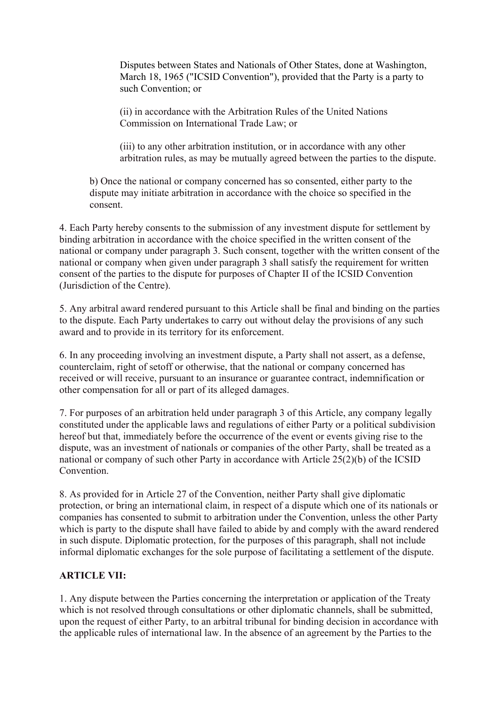Disputes between States and Nationals of Other States, done at Washington, March 18, 1965 ("ICSID Convention"), provided that the Party is a party to such Convention; or

(ii) in accordance with the Arbitration Rules of the United Nations Commission on International Trade Law; or

(iii) to any other arbitration institution, or in accordance with any other arbitration rules, as may be mutually agreed between the parties to the dispute.

b) Once the national or company concerned has so consented, either party to the dispute may initiate arbitration in accordance with the choice so specified in the consent.

4. Each Party hereby consents to the submission of any investment dispute for settlement by binding arbitration in accordance with the choice specified in the written consent of the national or company under paragraph 3. Such consent, together with the written consent of the national or company when given under paragraph 3 shall satisfy the requirement for written consent of the parties to the dispute for purposes of Chapter II of the ICSID Convention (Jurisdiction of the Centre).

5. Any arbitral award rendered pursuant to this Article shall be final and binding on the parties to the dispute. Each Party undertakes to carry out without delay the provisions of any such award and to provide in its territory for its enforcement.

6. In any proceeding involving an investment dispute, a Party shall not assert, as a defense, counterclaim, right of setoff or otherwise, that the national or company concerned has received or will receive, pursuant to an insurance or guarantee contract, indemnification or other compensation for all or part of its alleged damages.

7. For purposes of an arbitration held under paragraph 3 of this Article, any company legally constituted under the applicable laws and regulations of either Party or a political subdivision hereof but that, immediately before the occurrence of the event or events giving rise to the dispute, was an investment of nationals or companies of the other Party, shall be treated as a national or company of such other Party in accordance with Article 25(2)(b) of the ICSID **Convention** 

8. As provided for in Article 27 of the Convention, neither Party shall give diplomatic protection, or bring an international claim, in respect of a dispute which one of its nationals or companies has consented to submit to arbitration under the Convention, unless the other Party which is party to the dispute shall have failed to abide by and comply with the award rendered in such dispute. Diplomatic protection, for the purposes of this paragraph, shall not include informal diplomatic exchanges for the sole purpose of facilitating a settlement of the dispute.

## **ARTICLE VII:**

1. Any dispute between the Parties concerning the interpretation or application of the Treaty which is not resolved through consultations or other diplomatic channels, shall be submitted, upon the request of either Party, to an arbitral tribunal for binding decision in accordance with the applicable rules of international law. In the absence of an agreement by the Parties to the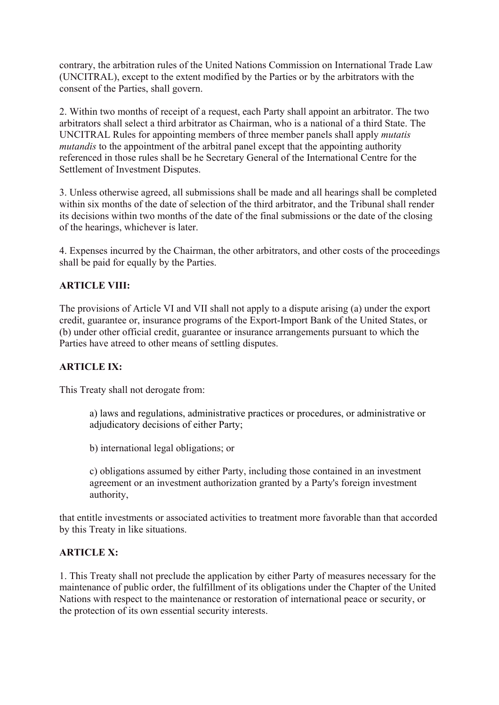contrary, the arbitration rules of the United Nations Commission on International Trade Law (UNCITRAL), except to the extent modified by the Parties or by the arbitrators with the consent of the Parties, shall govern.

2. Within two months of receipt of a request, each Party shall appoint an arbitrator. The two arbitrators shall select a third arbitrator as Chairman, who is a national of a third State. The UNCITRAL Rules for appointing members of three member panels shall apply *mutatis mutandis* to the appointment of the arbitral panel except that the appointing authority referenced in those rules shall be he Secretary General of the International Centre for the Settlement of Investment Disputes.

3. Unless otherwise agreed, all submissions shall be made and all hearings shall be completed within six months of the date of selection of the third arbitrator, and the Tribunal shall render its decisions within two months of the date of the final submissions or the date of the closing of the hearings, whichever is later.

4. Expenses incurred by the Chairman, the other arbitrators, and other costs of the proceedings shall be paid for equally by the Parties.

## **ARTICLE VIII:**

The provisions of Article VI and VII shall not apply to a dispute arising (a) under the export credit, guarantee or, insurance programs of the Export-Import Bank of the United States, or (b) under other official credit, guarantee or insurance arrangements pursuant to which the Parties have atreed to other means of settling disputes.

## **ARTICLE IX:**

This Treaty shall not derogate from:

a) laws and regulations, administrative practices or procedures, or administrative or adjudicatory decisions of either Party;

b) international legal obligations; or

c) obligations assumed by either Party, including those contained in an investment agreement or an investment authorization granted by a Party's foreign investment authority,

that entitle investments or associated activities to treatment more favorable than that accorded by this Treaty in like situations.

#### **ARTICLE X:**

1. This Treaty shall not preclude the application by either Party of measures necessary for the maintenance of public order, the fulfillment of its obligations under the Chapter of the United Nations with respect to the maintenance or restoration of international peace or security, or the protection of its own essential security interests.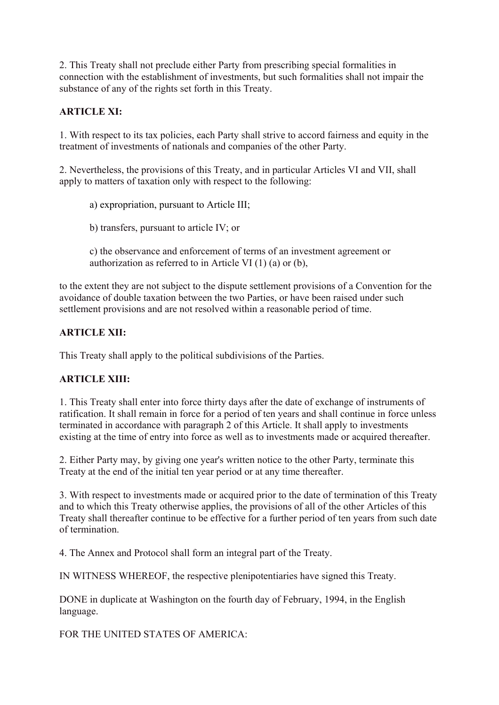2. This Treaty shall not preclude either Party from prescribing special formalities in connection with the establishment of investments, but such formalities shall not impair the substance of any of the rights set forth in this Treaty.

# **ARTICLE XI:**

1. With respect to its tax policies, each Party shall strive to accord fairness and equity in the treatment of investments of nationals and companies of the other Party.

2. Nevertheless, the provisions of this Treaty, and in particular Articles VI and VII, shall apply to matters of taxation only with respect to the following:

a) expropriation, pursuant to Article III;

b) transfers, pursuant to article IV; or

c) the observance and enforcement of terms of an investment agreement or authorization as referred to in Article VI (1) (a) or (b),

to the extent they are not subject to the dispute settlement provisions of a Convention for the avoidance of double taxation between the two Parties, or have been raised under such settlement provisions and are not resolved within a reasonable period of time.

# **ARTICLE XII:**

This Treaty shall apply to the political subdivisions of the Parties.

# **ARTICLE XIII:**

1. This Treaty shall enter into force thirty days after the date of exchange of instruments of ratification. It shall remain in force for a period of ten years and shall continue in force unless terminated in accordance with paragraph 2 of this Article. It shall apply to investments existing at the time of entry into force as well as to investments made or acquired thereafter.

2. Either Party may, by giving one year's written notice to the other Party, terminate this Treaty at the end of the initial ten year period or at any time thereafter.

3. With respect to investments made or acquired prior to the date of termination of this Treaty and to which this Treaty otherwise applies, the provisions of all of the other Articles of this Treaty shall thereafter continue to be effective for a further period of ten years from such date of termination.

4. The Annex and Protocol shall form an integral part of the Treaty.

IN WITNESS WHEREOF, the respective plenipotentiaries have signed this Treaty.

DONE in duplicate at Washington on the fourth day of February, 1994, in the English language.

FOR THE UNITED STATES OF AMERICA: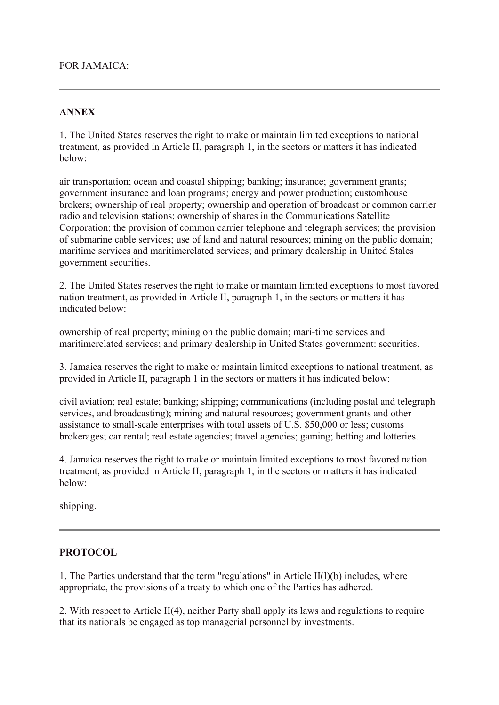## **ANNEX**

1. The United States reserves the right to make or maintain limited exceptions to national treatment, as provided in Article II, paragraph 1, in the sectors or matters it has indicated below:

air transportation; ocean and coastal shipping; banking; insurance; government grants; government insurance and loan programs; energy and power production; customhouse brokers; ownership of real property; ownership and operation of broadcast or common carrier radio and television stations; ownership of shares in the Communications Satellite Corporation; the provision of common carrier telephone and telegraph services; the provision of submarine cable services; use of land and natural resources; mining on the public domain; maritime services and maritimerelated services; and primary dealership in United Stales government securities.

2. The United States reserves the right to make or maintain limited exceptions to most favored nation treatment, as provided in Article II, paragraph 1, in the sectors or matters it has indicated below:

ownership of real property; mining on the public domain; mari-time services and maritimerelated services; and primary dealership in United States government: securities.

3. Jamaica reserves the right to make or maintain limited exceptions to national treatment, as provided in Article II, paragraph 1 in the sectors or matters it has indicated below:

civil aviation; real estate; banking; shipping; communications (including postal and telegraph services, and broadcasting); mining and natural resources; government grants and other assistance to small-scale enterprises with total assets of U.S. \$50,000 or less; customs brokerages; car rental; real estate agencies; travel agencies; gaming; betting and lotteries.

4. Jamaica reserves the right to make or maintain limited exceptions to most favored nation treatment, as provided in Article II, paragraph 1, in the sectors or matters it has indicated below:

shipping.

#### **PROTOCOL**

1. The Parties understand that the term "regulations" in Article  $II(1)(b)$  includes, where appropriate, the provisions of a treaty to which one of the Parties has adhered.

2. With respect to Article II(4), neither Party shall apply its laws and regulations to require that its nationals be engaged as top managerial personnel by investments.